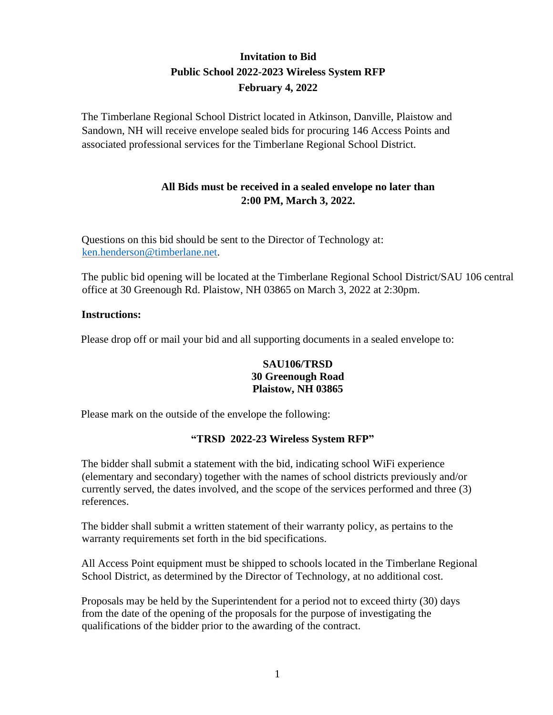# **Invitation to Bid Public School 2022-2023 Wireless System RFP February 4, 2022**

The Timberlane Regional School District located in Atkinson, Danville, Plaistow and Sandown, NH will receive envelope sealed bids for procuring 146 Access Points and associated professional services for the Timberlane Regional School District.

### **All Bids must be received in a sealed envelope no later than 2:00 PM, March 3, 2022.**

Questions on this bid should be sent to the Director of Technology at: [ken.henderson@timberlane.net.](mailto:ken.henderson@timberlane.net)

The public bid opening will be located at the Timberlane Regional School District/SAU 106 central office at 30 Greenough Rd. Plaistow, NH 03865 on March 3, 2022 at 2:30pm.

#### **Instructions:**

Please drop off or mail your bid and all supporting documents in a sealed envelope to:

#### **SAU106/TRSD 30 Greenough Road Plaistow, NH 03865**

Please mark on the outside of the envelope the following:

#### **"TRSD 2022-23 Wireless System RFP"**

The bidder shall submit a statement with the bid, indicating school WiFi experience (elementary and secondary) together with the names of school districts previously and/or currently served, the dates involved, and the scope of the services performed and three (3) references.

The bidder shall submit a written statement of their warranty policy, as pertains to the warranty requirements set forth in the bid specifications.

All Access Point equipment must be shipped to schools located in the Timberlane Regional School District, as determined by the Director of Technology, at no additional cost.

Proposals may be held by the Superintendent for a period not to exceed thirty (30) days from the date of the opening of the proposals for the purpose of investigating the qualifications of the bidder prior to the awarding of the contract.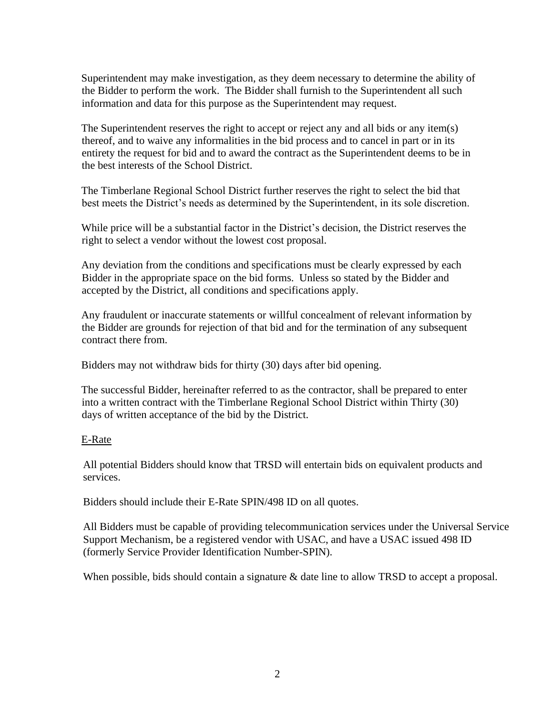Superintendent may make investigation, as they deem necessary to determine the ability of the Bidder to perform the work. The Bidder shall furnish to the Superintendent all such information and data for this purpose as the Superintendent may request.

The Superintendent reserves the right to accept or reject any and all bids or any item(s) thereof, and to waive any informalities in the bid process and to cancel in part or in its entirety the request for bid and to award the contract as the Superintendent deems to be in the best interests of the School District.

The Timberlane Regional School District further reserves the right to select the bid that best meets the District's needs as determined by the Superintendent, in its sole discretion.

While price will be a substantial factor in the District's decision, the District reserves the right to select a vendor without the lowest cost proposal.

Any deviation from the conditions and specifications must be clearly expressed by each Bidder in the appropriate space on the bid forms. Unless so stated by the Bidder and accepted by the District, all conditions and specifications apply.

Any fraudulent or inaccurate statements or willful concealment of relevant information by the Bidder are grounds for rejection of that bid and for the termination of any subsequent contract there from.

Bidders may not withdraw bids for thirty (30) days after bid opening.

The successful Bidder, hereinafter referred to as the contractor, shall be prepared to enter into a written contract with the Timberlane Regional School District within Thirty (30) days of written acceptance of the bid by the District.

#### E-Rate

All potential Bidders should know that TRSD will entertain bids on equivalent products and services.

Bidders should include their E-Rate SPIN/498 ID on all quotes.

All Bidders must be capable of providing telecommunication services under the Universal Service Support Mechanism, be a registered vendor with USAC, and have a USAC issued 498 ID (formerly Service Provider Identification Number-SPIN).

When possible, bids should contain a signature & date line to allow TRSD to accept a proposal.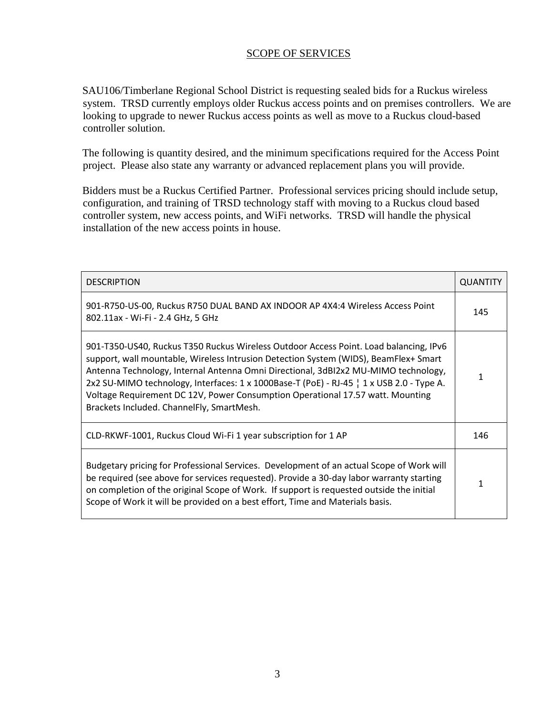#### SCOPE OF SERVICES

SAU106/Timberlane Regional School District is requesting sealed bids for a Ruckus wireless system. TRSD currently employs older Ruckus access points and on premises controllers. We are looking to upgrade to newer Ruckus access points as well as move to a Ruckus cloud-based controller solution.

The following is quantity desired, and the minimum specifications required for the Access Point project. Please also state any warranty or advanced replacement plans you will provide.

Bidders must be a Ruckus Certified Partner. Professional services pricing should include setup, configuration, and training of TRSD technology staff with moving to a Ruckus cloud based controller system, new access points, and WiFi networks. TRSD will handle the physical installation of the new access points in house.

| <b>DESCRIPTION</b>                                                                                                                                                                                                                                                                                                                                                                                                                                                                             | <b>QUANTITY</b> |
|------------------------------------------------------------------------------------------------------------------------------------------------------------------------------------------------------------------------------------------------------------------------------------------------------------------------------------------------------------------------------------------------------------------------------------------------------------------------------------------------|-----------------|
| 901-R750-US-00, Ruckus R750 DUAL BAND AX INDOOR AP 4X4:4 Wireless Access Point<br>802.11ax - Wi-Fi - 2.4 GHz, 5 GHz                                                                                                                                                                                                                                                                                                                                                                            | 145             |
| 901-T350-US40, Ruckus T350 Ruckus Wireless Outdoor Access Point. Load balancing, IPv6<br>support, wall mountable, Wireless Intrusion Detection System (WIDS), BeamFlex+ Smart<br>Antenna Technology, Internal Antenna Omni Directional, 3dBI2x2 MU-MIMO technology,<br>2x2 SU-MIMO technology, Interfaces: 1 x 1000Base-T (PoE) - RJ-45   1 x USB 2.0 - Type A.<br>Voltage Requirement DC 12V, Power Consumption Operational 17.57 watt. Mounting<br>Brackets Included. ChannelFly, SmartMesh. |                 |
| CLD-RKWF-1001, Ruckus Cloud Wi-Fi 1 year subscription for 1 AP                                                                                                                                                                                                                                                                                                                                                                                                                                 | 146             |
| Budgetary pricing for Professional Services. Development of an actual Scope of Work will<br>be required (see above for services requested). Provide a 30-day labor warranty starting<br>on completion of the original Scope of Work. If support is requested outside the initial<br>Scope of Work it will be provided on a best effort, Time and Materials basis.                                                                                                                              |                 |